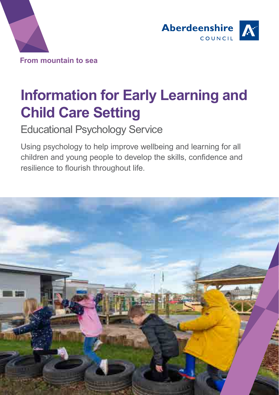



# **Information for Early Learning and Child Care Setting**

Educational Psychology Service

Using psychology to help improve wellbeing and learning for all children and young people to develop the skills, confidence and resilience to flourish throughout life.

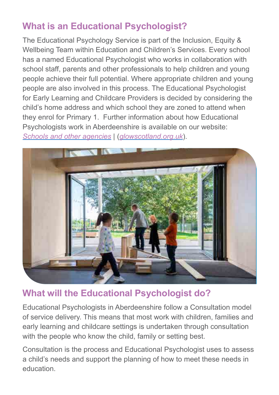# **What is an Educational Psychologist?**

The Educational Psychology Service is part of the Inclusion, Equity & Wellbeing Team within Education and Children's Services. Every school has a named Educational Psychologist who works in collaboration with school staff, parents and other professionals to help children and young people achieve their full potential. Where appropriate children and young people are also involved in this process. The Educational Psychologist for Early Learning and Childcare Providers is decided by considering the child's home address and which school they are zoned to attend when they enrol for Primary 1. Further information about how Educational Psychologists work in Aberdeenshire is available on our website: *[Schools and other agencies](https://blogs.glowscotland.org.uk/as/aberdeenshireeps/schools-and-other-agencies/)* | (*glowscotland.org.uk*).



# **What will the Educational Psychologist do?**

Educational Psychologists in Aberdeenshire follow a Consultation model of service delivery. This means that most work with children, families and early learning and childcare settings is undertaken through consultation with the people who know the child, family or setting best.

Consultation is the process and Educational Psychologist uses to assess a child's needs and support the planning of how to meet these needs in education.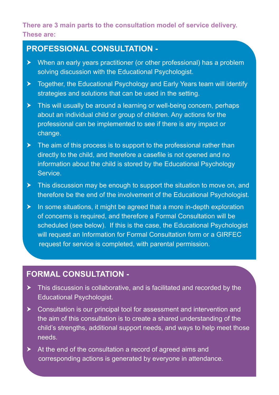#### **There are 3 main parts to the consultation model of service delivery. These are:**

#### **PROFESSIONAL CONSULTATION -**

- $\blacktriangleright$  When an early years practitioner (or other professional) has a problem solving discussion with the Educational Psychologist.
- $\triangleright$  Together, the Educational Psychology and Early Years team will identify strategies and solutions that can be used in the setting.
- $\triangleright$  This will usually be around a learning or well-being concern, perhaps about an individual child or group of children. Any actions for the professional can be implemented to see if there is any impact or change.
- $\blacktriangleright$  The aim of this process is to support to the professional rather than directly to the child, and therefore a casefile is not opened and no information about the child is stored by the Educational Psychology Service.
- $\blacktriangleright$  This discussion may be enough to support the situation to move on, and therefore be the end of the involvement of the Educational Psychologist.
- $\blacktriangleright$  In some situations, it might be agreed that a more in-depth exploration of concerns is required, and therefore a Formal Consultation will be scheduled (see below). If this is the case, the Educational Psychologist will request an Information for Formal Consultation form or a GIRFEC request for service is completed, with parental permission.

#### **FORMAL CONSULTATION -**

- $\triangleright$  This discussion is collaborative, and is facilitated and recorded by the Educational Psychologist.
- $\triangleright$  Consultation is our principal tool for assessment and intervention and the aim of this consultation is to create a shared understanding of the child's strengths, additional support needs, and ways to help meet those needs.
- $\blacktriangleright$  At the end of the consultation a record of agreed aims and corresponding actions is generated by everyone in attendance.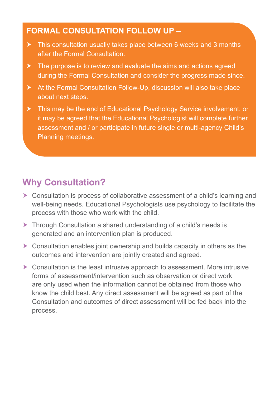#### **FORMAL CONSULTATION FOLLOW UP –**

- $\triangleright$  This consultation usually takes place between 6 weeks and 3 months after the Formal Consultation.
- $\blacktriangleright$  The purpose is to review and evaluate the aims and actions agreed during the Formal Consultation and consider the progress made since.
- $\blacktriangleright$  At the Formal Consultation Follow-Up, discussion will also take place about next steps.
- **K** This may be the end of Educational Psychology Service involvement, or it may be agreed that the Educational Psychologist will complete further assessment and / or participate in future single or multi-agency Child's Planning meetings.

# **Why Consultation?**

- $\triangleright$  Consultation is process of collaborative assessment of a child's learning and well-being needs. Educational Psychologists use psychology to facilitate the process with those who work with the child.
- $\triangleright$  Through Consultation a shared understanding of a child's needs is generated and an intervention plan is produced.
- $\triangleright$  Consultation enables joint ownership and builds capacity in others as the outcomes and intervention are jointly created and agreed.
- $\triangleright$  Consultation is the least intrusive approach to assessment. More intrusive forms of assessment/intervention such as observation or direct work are only used when the information cannot be obtained from those who know the child best. Any direct assessment will be agreed as part of the Consultation and outcomes of direct assessment will be fed back into the process.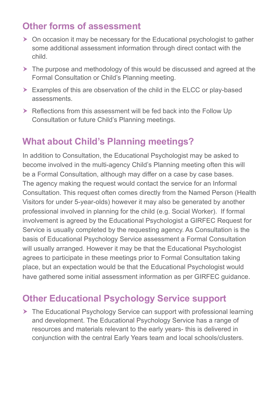### **Other forms of assessment**

- $\triangleright$  On occasion it may be necessary for the Educational psychologist to gather some additional assessment information through direct contact with the child.
- $\geq$  The purpose and methodology of this would be discussed and agreed at the Formal Consultation or Child's Planning meeting.
- $\triangleright$  Examples of this are observation of the child in the ELCC or play-based assessments.
- $\triangleright$  Reflections from this assessment will be fed back into the Follow Up Consultation or future Child's Planning meetings.

### **What about Child's Planning meetings?**

In addition to Consultation, the Educational Psychologist may be asked to become involved in the multi-agency Child's Planning meeting often this will be a Formal Consultation, although may differ on a case by case bases. The agency making the request would contact the service for an Informal Consultation. This request often comes directly from the Named Person (Health Visitors for under 5-year-olds) however it may also be generated by another professional involved in planning for the child (e.g. Social Worker). If formal involvement is agreed by the Educational Psychologist a GIRFEC Request for Service is usually completed by the requesting agency. As Consultation is the basis of Educational Psychology Service assessment a Formal Consultation will usually arranged. However it may be that the Educational Psychologist agrees to participate in these meetings prior to Formal Consultation taking place, but an expectation would be that the Educational Psychologist would have gathered some initial assessment information as per GIRFEC guidance.

### **Other Educational Psychology Service support**

 $\triangleright$  The Educational Psychology Service can support with professional learning and development. The Educational Psychology Service has a range of resources and materials relevant to the early years- this is delivered in conjunction with the central Early Years team and local schools/clusters.